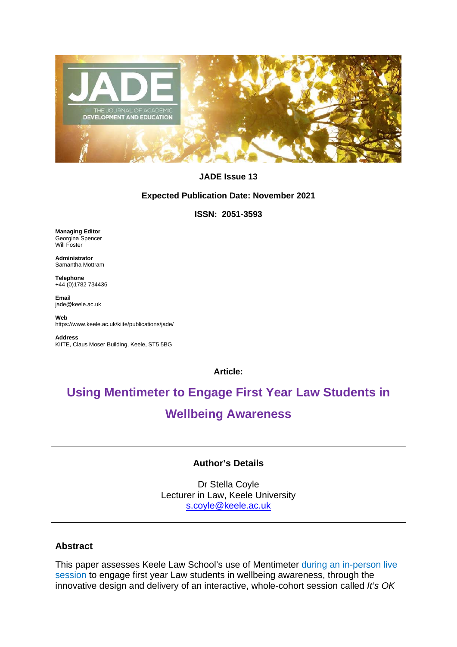

## **JADE Issue 13**

#### **Expected Publication Date: November 2021**

## **ISSN: 2051-3593**

**Managing Editor** Georgina Spencer Will Foster

**Administrator** Samantha Mottram

**Telephone**  +44 (0)1782 734436

**Email**  jade@keele.ac.uk

**Web**  https://www.keele.ac.uk/kiite/publications/jade/

**Address** KIITE, Claus Moser Building, Keele, ST5 5BG

**Article:**

# **Using Mentimeter to Engage First Year Law Students in Wellbeing Awareness**

# **Author's Details**

Dr Stella Coyle Lecturer in Law, Keele University [s.coyle@keele.ac.uk](mailto:s.coyle@keele.ac.uk)

## **Abstract**

This paper assesses Keele Law School's use of Mentimeter during an in-person live session to engage first year Law students in wellbeing awareness, through the innovative design and delivery of an interactive, whole-cohort session called *It's OK*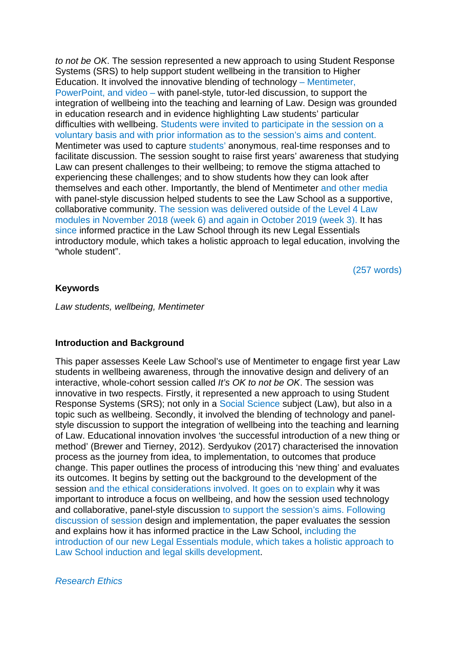*to not be OK*. The session represented a new approach to using Student Response Systems (SRS) to help support student wellbeing in the transition to Higher Education. It involved the innovative blending of technology – Mentimeter, PowerPoint, and video – with panel-style, tutor-led discussion, to support the integration of wellbeing into the teaching and learning of Law. Design was grounded in education research and in evidence highlighting Law students' particular difficulties with wellbeing. Students were invited to participate in the session on a voluntary basis and with prior information as to the session's aims and content. Mentimeter was used to capture students' anonymous, real-time responses and to facilitate discussion. The session sought to raise first years' awareness that studying Law can present challenges to their wellbeing; to remove the stigma attached to experiencing these challenges; and to show students how they can look after themselves and each other. Importantly, the blend of Mentimeter and other media with panel-style discussion helped students to see the Law School as a supportive, collaborative community. The session was delivered outside of the Level 4 Law modules in November 2018 (week 6) and again in October 2019 (week 3). It has since informed practice in the Law School through its new Legal Essentials introductory module, which takes a holistic approach to legal education, involving the "whole student".

(257 words)

## **Keywords**

*Law students, wellbeing, Mentimeter*

#### **Introduction and Background**

This paper assesses Keele Law School's use of Mentimeter to engage first year Law students in wellbeing awareness, through the innovative design and delivery of an interactive, whole-cohort session called *It's OK to not be OK*. The session was innovative in two respects. Firstly, it represented a new approach to using Student Response Systems (SRS); not only in a Social Science subject (Law), but also in a topic such as wellbeing. Secondly, it involved the blending of technology and panelstyle discussion to support the integration of wellbeing into the teaching and learning of Law. Educational innovation involves 'the successful introduction of a new thing or method' (Brewer and Tierney, 2012). Serdyukov (2017) characterised the innovation process as the journey from idea, to implementation, to outcomes that produce change. This paper outlines the process of introducing this 'new thing' and evaluates its outcomes. It begins by setting out the background to the development of the session and the ethical considerations involved. It goes on to explain why it was important to introduce a focus on wellbeing, and how the session used technology and collaborative, panel-style discussion to support the session's aims. Following discussion of session design and implementation, the paper evaluates the session and explains how it has informed practice in the Law School, including the introduction of our new Legal Essentials module, which takes a holistic approach to Law School induction and legal skills development.

*Research Ethics*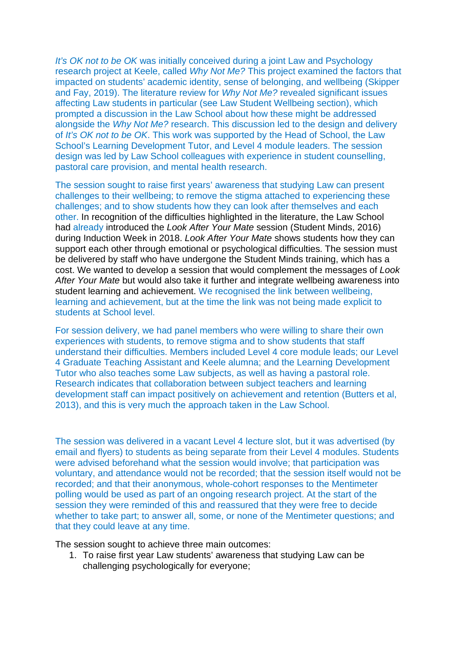*It's OK not to be OK* was initially conceived during a joint Law and Psychology research project at Keele, called *Why Not Me?* This project examined the factors that impacted on students' academic identity, sense of belonging, and wellbeing (Skipper and Fay, 2019). The literature review for *Why Not Me?* revealed significant issues affecting Law students in particular (see Law Student Wellbeing section), which prompted a discussion in the Law School about how these might be addressed alongside the *Why Not Me?* research. This discussion led to the design and delivery of *It's OK not to be OK*. This work was supported by the Head of School, the Law School's Learning Development Tutor, and Level 4 module leaders. The session design was led by Law School colleagues with experience in student counselling, pastoral care provision, and mental health research.

The session sought to raise first years' awareness that studying Law can present challenges to their wellbeing; to remove the stigma attached to experiencing these challenges; and to show students how they can look after themselves and each other. In recognition of the difficulties highlighted in the literature, the Law School had already introduced the *Look After Your Mate* session (Student Minds, 2016) during Induction Week in 2018. *Look After Your Mate* shows students how they can support each other through emotional or psychological difficulties. The session must be delivered by staff who have undergone the Student Minds training, which has a cost. We wanted to develop a session that would complement the messages of *Look After Your Mate* but would also take it further and integrate wellbeing awareness into student learning and achievement. We recognised the link between wellbeing, learning and achievement, but at the time the link was not being made explicit to students at School level.

For session delivery, we had panel members who were willing to share their own experiences with students, to remove stigma and to show students that staff understand their difficulties. Members included Level 4 core module leads; our Level 4 Graduate Teaching Assistant and Keele alumna; and the Learning Development Tutor who also teaches some Law subjects, as well as having a pastoral role. Research indicates that collaboration between subject teachers and learning development staff can impact positively on achievement and retention (Butters et al, 2013), and this is very much the approach taken in the Law School.

The session was delivered in a vacant Level 4 lecture slot, but it was advertised (by email and flyers) to students as being separate from their Level 4 modules. Students were advised beforehand what the session would involve; that participation was voluntary, and attendance would not be recorded; that the session itself would not be recorded; and that their anonymous, whole-cohort responses to the Mentimeter polling would be used as part of an ongoing research project. At the start of the session they were reminded of this and reassured that they were free to decide whether to take part; to answer all, some, or none of the Mentimeter questions; and that they could leave at any time.

The session sought to achieve three main outcomes:

1. To raise first year Law students' awareness that studying Law can be challenging psychologically for everyone;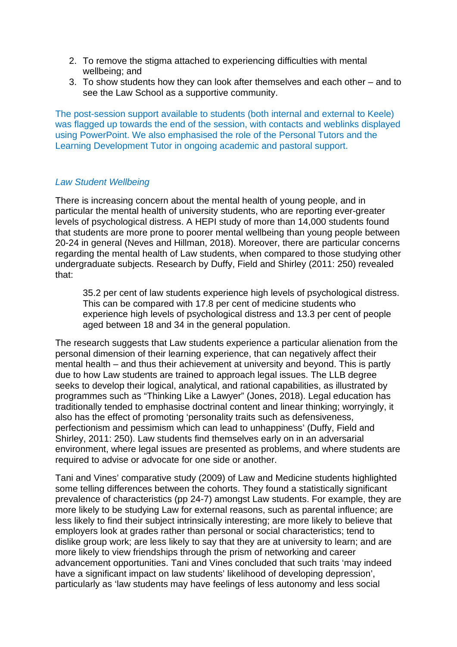- 2. To remove the stigma attached to experiencing difficulties with mental wellbeing; and
- 3. To show students how they can look after themselves and each other and to see the Law School as a supportive community.

The post-session support available to students (both internal and external to Keele) was flagged up towards the end of the session, with contacts and weblinks displayed using PowerPoint. We also emphasised the role of the Personal Tutors and the Learning Development Tutor in ongoing academic and pastoral support.

## *Law Student Wellbeing*

There is increasing concern about the mental health of young people, and in particular the mental health of university students, who are reporting ever-greater levels of psychological distress. A HEPI study of more than 14,000 students found that students are more prone to poorer mental wellbeing than young people between 20-24 in general (Neves and Hillman, 2018). Moreover, there are particular concerns regarding the mental health of Law students, when compared to those studying other undergraduate subjects. Research by Duffy, Field and Shirley (2011: 250) revealed that:

35.2 per cent of law students experience high levels of psychological distress. This can be compared with 17.8 per cent of medicine students who experience high levels of psychological distress and 13.3 per cent of people aged between 18 and 34 in the general population.

The research suggests that Law students experience a particular alienation from the personal dimension of their learning experience, that can negatively affect their mental health – and thus their achievement at university and beyond. This is partly due to how Law students are trained to approach legal issues. The LLB degree seeks to develop their logical, analytical, and rational capabilities, as illustrated by programmes such as "Thinking Like a Lawyer" (Jones, 2018). Legal education has traditionally tended to emphasise doctrinal content and linear thinking; worryingly, it also has the effect of promoting 'personality traits such as defensiveness, perfectionism and pessimism which can lead to unhappiness' (Duffy, Field and Shirley, 2011: 250). Law students find themselves early on in an adversarial environment, where legal issues are presented as problems, and where students are required to advise or advocate for one side or another.

Tani and Vines' comparative study (2009) of Law and Medicine students highlighted some telling differences between the cohorts. They found a statistically significant prevalence of characteristics (pp 24-7) amongst Law students. For example, they are more likely to be studying Law for external reasons, such as parental influence; are less likely to find their subject intrinsically interesting; are more likely to believe that employers look at grades rather than personal or social characteristics; tend to dislike group work; are less likely to say that they are at university to learn; and are more likely to view friendships through the prism of networking and career advancement opportunities. Tani and Vines concluded that such traits 'may indeed have a significant impact on law students' likelihood of developing depression', particularly as 'law students may have feelings of less autonomy and less social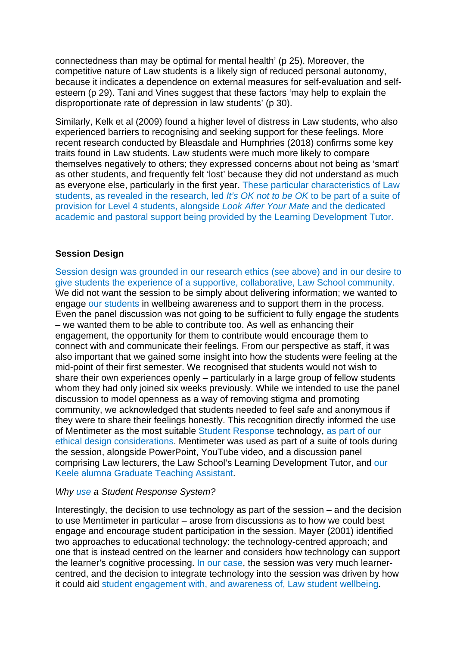connectedness than may be optimal for mental health' (p 25). Moreover, the competitive nature of Law students is a likely sign of reduced personal autonomy, because it indicates a dependence on external measures for self-evaluation and selfesteem (p 29). Tani and Vines suggest that these factors 'may help to explain the disproportionate rate of depression in law students' (p 30).

Similarly, Kelk et al (2009) found a higher level of distress in Law students, who also experienced barriers to recognising and seeking support for these feelings. More recent research conducted by Bleasdale and Humphries (2018) confirms some key traits found in Law students. Law students were much more likely to compare themselves negatively to others; they expressed concerns about not being as 'smart' as other students, and frequently felt 'lost' because they did not understand as much as everyone else, particularly in the first year. These particular characteristics of Law students, as revealed in the research, led *It's OK not to be OK* to be part of a suite of provision for Level 4 students, alongside *Look After Your Mate* and the dedicated academic and pastoral support being provided by the Learning Development Tutor.

## **Session Design**

Session design was grounded in our research ethics (see above) and in our desire to give students the experience of a supportive, collaborative, Law School community. We did not want the session to be simply about delivering information; we wanted to engage our students in wellbeing awareness and to support them in the process. Even the panel discussion was not going to be sufficient to fully engage the students – we wanted them to be able to contribute too. As well as enhancing their engagement, the opportunity for them to contribute would encourage them to connect with and communicate their feelings. From our perspective as staff, it was also important that we gained some insight into how the students were feeling at the mid-point of their first semester. We recognised that students would not wish to share their own experiences openly – particularly in a large group of fellow students whom they had only joined six weeks previously. While we intended to use the panel discussion to model openness as a way of removing stigma and promoting community, we acknowledged that students needed to feel safe and anonymous if they were to share their feelings honestly. This recognition directly informed the use of Mentimeter as the most suitable Student Response technology, as part of our ethical design considerations. Mentimeter was used as part of a suite of tools during the session, alongside PowerPoint, YouTube video, and a discussion panel comprising Law lecturers, the Law School's Learning Development Tutor, and our Keele alumna Graduate Teaching Assistant.

## *Why use a Student Response System?*

Interestingly, the decision to use technology as part of the session – and the decision to use Mentimeter in particular – arose from discussions as to how we could best engage and encourage student participation in the session. Mayer (2001) identified two approaches to educational technology: the technology-centred approach; and one that is instead centred on the learner and considers how technology can support the learner's cognitive processing. In our case, the session was very much learnercentred, and the decision to integrate technology into the session was driven by how it could aid student engagement with, and awareness of, Law student wellbeing.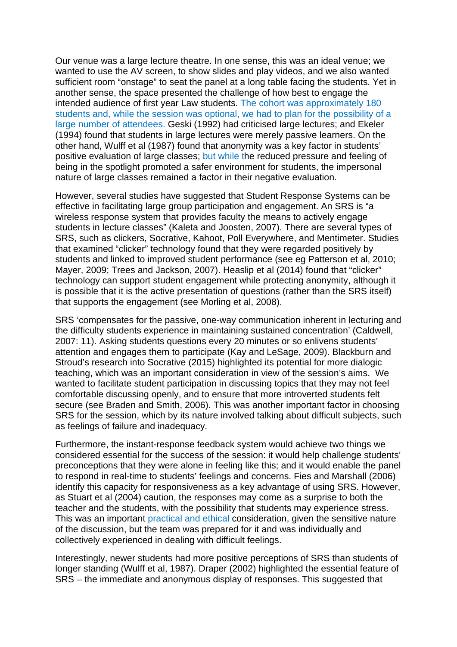Our venue was a large lecture theatre. In one sense, this was an ideal venue; we wanted to use the AV screen, to show slides and play videos, and we also wanted sufficient room "onstage" to seat the panel at a long table facing the students. Yet in another sense, the space presented the challenge of how best to engage the intended audience of first year Law students. The cohort was approximately 180 students and, while the session was optional, we had to plan for the possibility of a large number of attendees. Geski (1992) had criticised large lectures; and Ekeler (1994) found that students in large lectures were merely passive learners. On the other hand, Wulff et al (1987) found that anonymity was a key factor in students' positive evaluation of large classes; but while the reduced pressure and feeling of being in the spotlight promoted a safer environment for students, the impersonal nature of large classes remained a factor in their negative evaluation.

However, several studies have suggested that Student Response Systems can be effective in facilitating large group participation and engagement. An SRS is "a wireless response system that provides faculty the means to actively engage students in lecture classes" (Kaleta and Joosten, 2007). There are several types of SRS, such as clickers, Socrative, Kahoot, Poll Everywhere, and Mentimeter. Studies that examined "clicker" technology found that they were regarded positively by students and linked to improved student performance (see eg Patterson et al, 2010; Mayer, 2009; Trees and Jackson, 2007). Heaslip et al (2014) found that "clicker" technology can support student engagement while protecting anonymity, although it is possible that it is the active presentation of questions (rather than the SRS itself) that supports the engagement (see Morling et al, 2008).

SRS 'compensates for the passive, one-way communication inherent in lecturing and the difficulty students experience in maintaining sustained concentration' (Caldwell, 2007: 11). Asking students questions every 20 minutes or so enlivens students' attention and engages them to participate (Kay and LeSage, 2009). Blackburn and Stroud's research into Socrative (2015) highlighted its potential for more dialogic teaching, which was an important consideration in view of the session's aims. We wanted to facilitate student participation in discussing topics that they may not feel comfortable discussing openly, and to ensure that more introverted students felt secure (see Braden and Smith, 2006). This was another important factor in choosing SRS for the session, which by its nature involved talking about difficult subjects, such as feelings of failure and inadequacy.

Furthermore, the instant-response feedback system would achieve two things we considered essential for the success of the session: it would help challenge students' preconceptions that they were alone in feeling like this; and it would enable the panel to respond in real-time to students' feelings and concerns. Fies and Marshall (2006) identify this capacity for responsiveness as a key advantage of using SRS. However, as Stuart et al (2004) caution, the responses may come as a surprise to both the teacher and the students, with the possibility that students may experience stress. This was an important practical and ethical consideration, given the sensitive nature of the discussion, but the team was prepared for it and was individually and collectively experienced in dealing with difficult feelings.

Interestingly, newer students had more positive perceptions of SRS than students of longer standing (Wulff et al, 1987). Draper (2002) highlighted the essential feature of SRS – the immediate and anonymous display of responses. This suggested that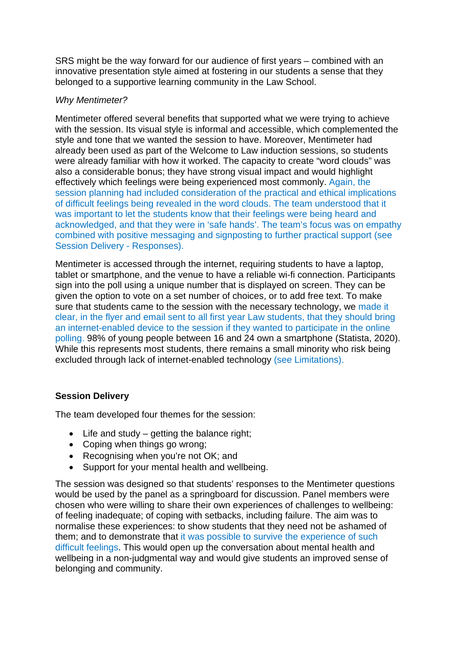SRS might be the way forward for our audience of first years – combined with an innovative presentation style aimed at fostering in our students a sense that they belonged to a supportive learning community in the Law School.

## *Why Mentimeter?*

Mentimeter offered several benefits that supported what we were trying to achieve with the session. Its visual style is informal and accessible, which complemented the style and tone that we wanted the session to have. Moreover, Mentimeter had already been used as part of the Welcome to Law induction sessions, so students were already familiar with how it worked. The capacity to create "word clouds" was also a considerable bonus; they have strong visual impact and would highlight effectively which feelings were being experienced most commonly. Again, the session planning had included consideration of the practical and ethical implications of difficult feelings being revealed in the word clouds. The team understood that it was important to let the students know that their feelings were being heard and acknowledged, and that they were in 'safe hands'. The team's focus was on empathy combined with positive messaging and signposting to further practical support (see Session Delivery - Responses).

Mentimeter is accessed through the internet, requiring students to have a laptop, tablet or smartphone, and the venue to have a reliable wi-fi connection. Participants sign into the poll using a unique number that is displayed on screen. They can be given the option to vote on a set number of choices, or to add free text. To make sure that students came to the session with the necessary technology, we made it clear, in the flyer and email sent to all first year Law students, that they should bring an internet-enabled device to the session if they wanted to participate in the online polling. 98% of young people between 16 and 24 own a smartphone (Statista, 2020). While this represents most students, there remains a small minority who risk being excluded through lack of internet-enabled technology (see Limitations).

# **Session Delivery**

The team developed four themes for the session:

- Life and study getting the balance right;
- Coping when things go wrong;
- Recognising when you're not OK; and
- Support for your mental health and wellbeing.

The session was designed so that students' responses to the Mentimeter questions would be used by the panel as a springboard for discussion. Panel members were chosen who were willing to share their own experiences of challenges to wellbeing: of feeling inadequate; of coping with setbacks, including failure. The aim was to normalise these experiences: to show students that they need not be ashamed of them; and to demonstrate that it was possible to survive the experience of such difficult feelings. This would open up the conversation about mental health and wellbeing in a non-judgmental way and would give students an improved sense of belonging and community.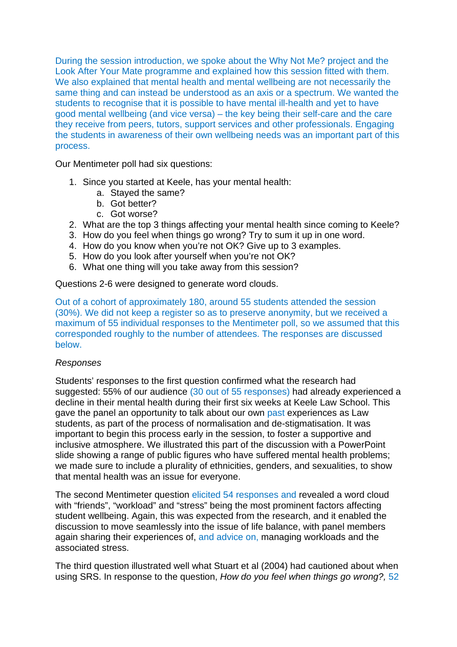During the session introduction, we spoke about the Why Not Me? project and the Look After Your Mate programme and explained how this session fitted with them. We also explained that mental health and mental wellbeing are not necessarily the same thing and can instead be understood as an axis or a spectrum. We wanted the students to recognise that it is possible to have mental ill-health and yet to have good mental wellbeing (and vice versa) – the key being their self-care and the care they receive from peers, tutors, support services and other professionals. Engaging the students in awareness of their own wellbeing needs was an important part of this process.

Our Mentimeter poll had six questions:

- 1. Since you started at Keele, has your mental health:
	- a. Stayed the same?
	- b. Got better?
	- c. Got worse?
- 2. What are the top 3 things affecting your mental health since coming to Keele?
- 3. How do you feel when things go wrong? Try to sum it up in one word.
- 4. How do you know when you're not OK? Give up to 3 examples.
- 5. How do you look after yourself when you're not OK?
- 6. What one thing will you take away from this session?

Questions 2-6 were designed to generate word clouds.

Out of a cohort of approximately 180, around 55 students attended the session (30%). We did not keep a register so as to preserve anonymity, but we received a maximum of 55 individual responses to the Mentimeter poll, so we assumed that this corresponded roughly to the number of attendees. The responses are discussed below.

#### *Responses*

Students' responses to the first question confirmed what the research had suggested: 55% of our audience (30 out of 55 responses) had already experienced a decline in their mental health during their first six weeks at Keele Law School. This gave the panel an opportunity to talk about our own past experiences as Law students, as part of the process of normalisation and de-stigmatisation. It was important to begin this process early in the session, to foster a supportive and inclusive atmosphere. We illustrated this part of the discussion with a PowerPoint slide showing a range of public figures who have suffered mental health problems; we made sure to include a plurality of ethnicities, genders, and sexualities, to show that mental health was an issue for everyone.

The second Mentimeter question elicited 54 responses and revealed a word cloud with "friends", "workload" and "stress" being the most prominent factors affecting student wellbeing. Again, this was expected from the research, and it enabled the discussion to move seamlessly into the issue of life balance, with panel members again sharing their experiences of, and advice on, managing workloads and the associated stress.

The third question illustrated well what Stuart et al (2004) had cautioned about when using SRS. In response to the question, *How do you feel when things go wrong?,* 52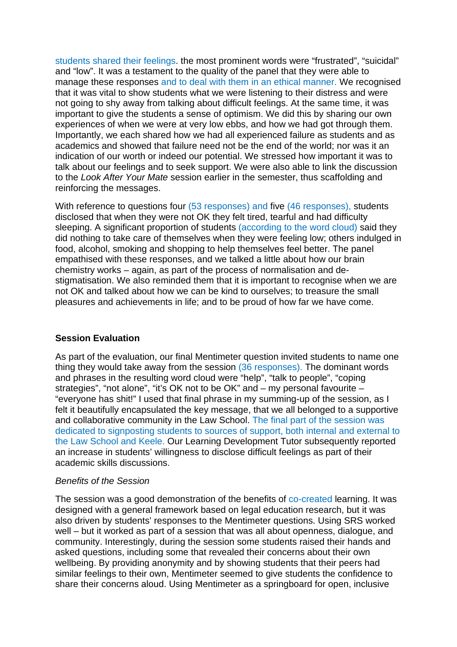students shared their feelings. the most prominent words were "frustrated", "suicidal" and "low". It was a testament to the quality of the panel that they were able to manage these responses and to deal with them in an ethical manner. We recognised that it was vital to show students what we were listening to their distress and were not going to shy away from talking about difficult feelings. At the same time, it was important to give the students a sense of optimism. We did this by sharing our own experiences of when we were at very low ebbs, and how we had got through them. Importantly, we each shared how we had all experienced failure as students and as academics and showed that failure need not be the end of the world; nor was it an indication of our worth or indeed our potential. We stressed how important it was to talk about our feelings and to seek support. We were also able to link the discussion to the *Look After Your Mate* session earlier in the semester, thus scaffolding and reinforcing the messages.

With reference to questions four (53 responses) and five (46 responses), students disclosed that when they were not OK they felt tired, tearful and had difficulty sleeping. A significant proportion of students (according to the word cloud) said they did nothing to take care of themselves when they were feeling low; others indulged in food, alcohol, smoking and shopping to help themselves feel better. The panel empathised with these responses, and we talked a little about how our brain chemistry works – again, as part of the process of normalisation and destigmatisation. We also reminded them that it is important to recognise when we are not OK and talked about how we can be kind to ourselves; to treasure the small pleasures and achievements in life; and to be proud of how far we have come.

## **Session Evaluation**

As part of the evaluation, our final Mentimeter question invited students to name one thing they would take away from the session (36 responses). The dominant words and phrases in the resulting word cloud were "help", "talk to people", "coping strategies", "not alone", "it's OK not to be OK" and – my personal favourite – "everyone has shit!" I used that final phrase in my summing-up of the session, as I felt it beautifully encapsulated the key message, that we all belonged to a supportive and collaborative community in the Law School. The final part of the session was dedicated to signposting students to sources of support, both internal and external to the Law School and Keele. Our Learning Development Tutor subsequently reported an increase in students' willingness to disclose difficult feelings as part of their academic skills discussions.

## *Benefits of the Session*

The session was a good demonstration of the benefits of co-created learning. It was designed with a general framework based on legal education research, but it was also driven by students' responses to the Mentimeter questions. Using SRS worked well – but it worked as part of a session that was all about openness, dialogue, and community. Interestingly, during the session some students raised their hands and asked questions, including some that revealed their concerns about their own wellbeing. By providing anonymity and by showing students that their peers had similar feelings to their own, Mentimeter seemed to give students the confidence to share their concerns aloud. Using Mentimeter as a springboard for open, inclusive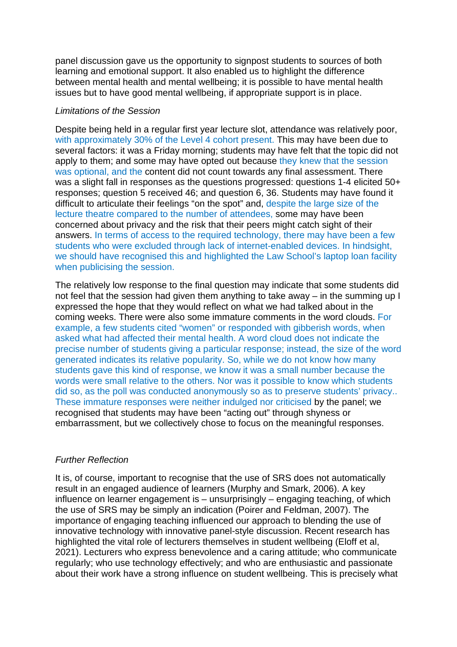panel discussion gave us the opportunity to signpost students to sources of both learning and emotional support. It also enabled us to highlight the difference between mental health and mental wellbeing; it is possible to have mental health issues but to have good mental wellbeing, if appropriate support is in place.

#### *Limitations of the Session*

Despite being held in a regular first year lecture slot, attendance was relatively poor, with approximately 30% of the Level 4 cohort present. This may have been due to several factors: it was a Friday morning; students may have felt that the topic did not apply to them; and some may have opted out because they knew that the session was optional, and the content did not count towards any final assessment. There was a slight fall in responses as the questions progressed: questions 1-4 elicited 50+ responses; question 5 received 46; and question 6, 36. Students may have found it difficult to articulate their feelings "on the spot" and, despite the large size of the lecture theatre compared to the number of attendees, some may have been concerned about privacy and the risk that their peers might catch sight of their answers. In terms of access to the required technology, there may have been a few students who were excluded through lack of internet-enabled devices. In hindsight, we should have recognised this and highlighted the Law School's laptop loan facility when publicising the session.

The relatively low response to the final question may indicate that some students did not feel that the session had given them anything to take away – in the summing up I expressed the hope that they would reflect on what we had talked about in the coming weeks. There were also some immature comments in the word clouds. For example, a few students cited "women" or responded with gibberish words, when asked what had affected their mental health. A word cloud does not indicate the precise number of students giving a particular response; instead, the size of the word generated indicates its relative popularity. So, while we do not know how many students gave this kind of response, we know it was a small number because the words were small relative to the others. Nor was it possible to know which students did so, as the poll was conducted anonymously so as to preserve students' privacy.. These immature responses were neither indulged nor criticised by the panel; we recognised that students may have been "acting out" through shyness or embarrassment, but we collectively chose to focus on the meaningful responses.

## *Further Reflection*

It is, of course, important to recognise that the use of SRS does not automatically result in an engaged audience of learners (Murphy and Smark, 2006). A key influence on learner engagement is – unsurprisingly – engaging teaching, of which the use of SRS may be simply an indication (Poirer and Feldman, 2007). The importance of engaging teaching influenced our approach to blending the use of innovative technology with innovative panel-style discussion. Recent research has highlighted the vital role of lecturers themselves in student wellbeing (Eloff et al, 2021). Lecturers who express benevolence and a caring attitude; who communicate regularly; who use technology effectively; and who are enthusiastic and passionate about their work have a strong influence on student wellbeing. This is precisely what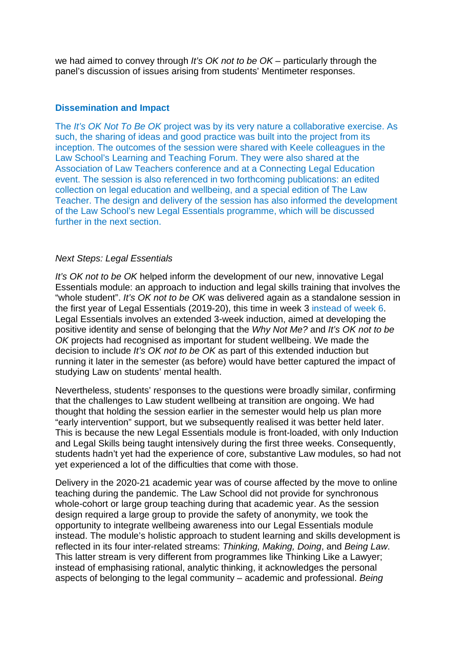we had aimed to convey through *It's OK not to be OK* – particularly through the panel's discussion of issues arising from students' Mentimeter responses.

#### **Dissemination and Impact**

The *It's OK Not To Be OK* project was by its very nature a collaborative exercise. As such, the sharing of ideas and good practice was built into the project from its inception. The outcomes of the session were shared with Keele colleagues in the Law School's Learning and Teaching Forum. They were also shared at the Association of Law Teachers conference and at a Connecting Legal Education event. The session is also referenced in two forthcoming publications: an edited collection on legal education and wellbeing, and a special edition of The Law Teacher. The design and delivery of the session has also informed the development of the Law School's new Legal Essentials programme, which will be discussed further in the next section.

#### *Next Steps: Legal Essentials*

*It's OK not to be OK* helped inform the development of our new, innovative Legal Essentials module: an approach to induction and legal skills training that involves the "whole student". *It's OK not to be OK* was delivered again as a standalone session in the first year of Legal Essentials (2019-20), this time in week 3 instead of week 6. Legal Essentials involves an extended 3-week induction, aimed at developing the positive identity and sense of belonging that the *Why Not Me?* and *It's OK not to be OK* projects had recognised as important for student wellbeing. We made the decision to include *It's OK not to be OK* as part of this extended induction but running it later in the semester (as before) would have better captured the impact of studying Law on students' mental health.

Nevertheless, students' responses to the questions were broadly similar, confirming that the challenges to Law student wellbeing at transition are ongoing. We had thought that holding the session earlier in the semester would help us plan more "early intervention" support, but we subsequently realised it was better held later. This is because the new Legal Essentials module is front-loaded, with only Induction and Legal Skills being taught intensively during the first three weeks. Consequently, students hadn't yet had the experience of core, substantive Law modules, so had not yet experienced a lot of the difficulties that come with those.

Delivery in the 2020-21 academic year was of course affected by the move to online teaching during the pandemic. The Law School did not provide for synchronous whole-cohort or large group teaching during that academic year. As the session design required a large group to provide the safety of anonymity, we took the opportunity to integrate wellbeing awareness into our Legal Essentials module instead. The module's holistic approach to student learning and skills development is reflected in its four inter-related streams: *Thinking, Making, Doing*, and *Being Law*. This latter stream is very different from programmes like Thinking Like a Lawyer; instead of emphasising rational, analytic thinking, it acknowledges the personal aspects of belonging to the legal community – academic and professional. *Being*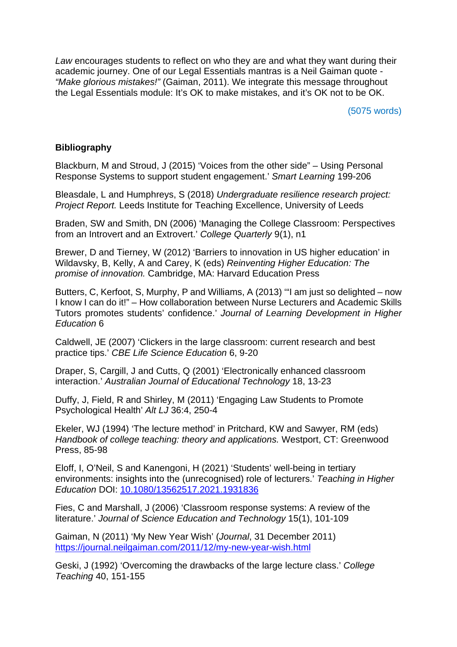*Law* encourages students to reflect on who they are and what they want during their academic journey. One of our Legal Essentials mantras is a Neil Gaiman quote - *"Make glorious mistakes!"* (Gaiman, 2011). We integrate this message throughout the Legal Essentials module: It's OK to make mistakes, and it's OK not to be OK.

(5075 words)

## **Bibliography**

Blackburn, M and Stroud, J (2015) 'Voices from the other side" – Using Personal Response Systems to support student engagement.' *Smart Learning* 199-206

Bleasdale, L and Humphreys, S (2018) *Undergraduate resilience research project: Project Report.* Leeds Institute for Teaching Excellence, University of Leeds

Braden, SW and Smith, DN (2006) 'Managing the College Classroom: Perspectives from an Introvert and an Extrovert.' *College Quarterly* 9(1), n1

Brewer, D and Tierney, W (2012) 'Barriers to innovation in US higher education' in Wildavsky, B, Kelly, A and Carey, K (eds) *Reinventing Higher Education: The promise of innovation.* Cambridge, MA: Harvard Education Press

Butters, C, Kerfoot, S, Murphy, P and Williams, A (2013) '"I am just so delighted – now I know I can do it!" – How collaboration between Nurse Lecturers and Academic Skills Tutors promotes students' confidence.' *Journal of Learning Development in Higher Education* 6

Caldwell, JE (2007) 'Clickers in the large classroom: current research and best practice tips.' *CBE Life Science Education* 6, 9-20

Draper, S, Cargill, J and Cutts, Q (2001) 'Electronically enhanced classroom interaction.' *Australian Journal of Educational Technology* 18, 13-23

Duffy, J, Field, R and Shirley, M (2011) 'Engaging Law Students to Promote Psychological Health' *Alt LJ* 36:4, 250-4

Ekeler, WJ (1994) 'The lecture method' in Pritchard, KW and Sawyer, RM (eds) *Handbook of college teaching: theory and applications.* Westport, CT: Greenwood Press, 85-98

Eloff, I, O'Neil, S and Kanengoni, H (2021) 'Students' well-being in tertiary environments: insights into the (unrecognised) role of lecturers.' *Teaching in Higher Education* DOI: [10.1080/13562517.2021.1931836](https://doi.org/10.1080/13562517.2021.1931836)

Fies, C and Marshall, J (2006) 'Classroom response systems: A review of the literature.' *Journal of Science Education and Technology* 15(1), 101-109

Gaiman, N (2011) 'My New Year Wish' (*Journal*, 31 December 2011) <https://journal.neilgaiman.com/2011/12/my-new-year-wish.html>

Geski, J (1992) 'Overcoming the drawbacks of the large lecture class.' *College Teaching* 40, 151-155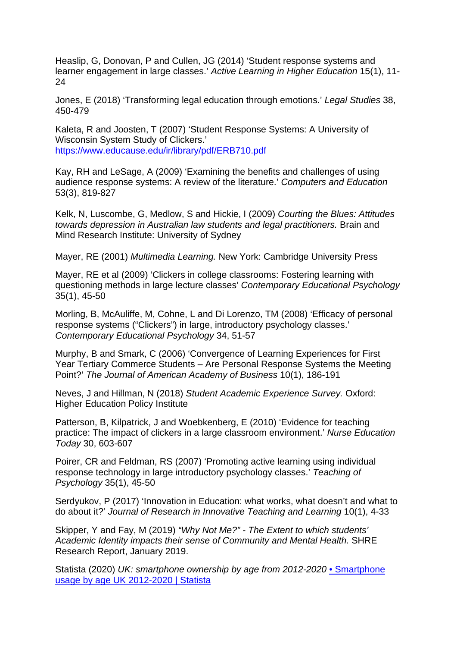Heaslip, G, Donovan, P and Cullen, JG (2014) 'Student response systems and learner engagement in large classes.' *Active Learning in Higher Education* 15(1), 11- 24

Jones, E (2018) 'Transforming legal education through emotions.' *Legal Studies* 38, 450-479

Kaleta, R and Joosten, T (2007) 'Student Response Systems: A University of Wisconsin System Study of Clickers.' <https://www.educause.edu/ir/library/pdf/ERB710.pdf>

Kay, RH and LeSage, A (2009) 'Examining the benefits and challenges of using audience response systems: A review of the literature.' *Computers and Education*  53(3), 819-827

Kelk, N, Luscombe, G, Medlow, S and Hickie, I (2009) *Courting the Blues: Attitudes towards depression in Australian law students and legal practitioners.* Brain and Mind Research Institute: University of Sydney

Mayer, RE (2001) *Multimedia Learning.* New York: Cambridge University Press

Mayer, RE et al (2009) 'Clickers in college classrooms: Fostering learning with questioning methods in large lecture classes' *Contemporary Educational Psychology*  35(1), 45-50

Morling, B, McAuliffe, M, Cohne, L and Di Lorenzo, TM (2008) 'Efficacy of personal response systems ("Clickers") in large, introductory psychology classes.' *Contemporary Educational Psychology* 34, 51-57

Murphy, B and Smark, C (2006) 'Convergence of Learning Experiences for First Year Tertiary Commerce Students – Are Personal Response Systems the Meeting Point?' *The Journal of American Academy of Business* 10(1), 186-191

Neves, J and Hillman, N (2018) *Student Academic Experience Survey.* Oxford: Higher Education Policy Institute

Patterson, B, Kilpatrick, J and Woebkenberg, E (2010) 'Evidence for teaching practice: The impact of clickers in a large classroom environment.' *Nurse Education Today* 30, 603-607

Poirer, CR and Feldman, RS (2007) 'Promoting active learning using individual response technology in large introductory psychology classes.' *Teaching of Psychology* 35(1), 45-50

Serdyukov, P (2017) 'Innovation in Education: what works, what doesn't and what to do about it?' *Journal of Research in Innovative Teaching and Learning* 10(1), 4-33

Skipper, Y and Fay, M (2019) *"Why Not Me?" - The Extent to which students' Academic Identity impacts their sense of Community and Mental Health.* SHRE Research Report, January 2019.

Statista (2020) *UK: smartphone ownership by age from 2012-2020* [• Smartphone](https://www.statista.com/statistics/300402/smartphone-usage-in-the-uk-by-age/)  [usage by age UK 2012-2020 | Statista](https://www.statista.com/statistics/300402/smartphone-usage-in-the-uk-by-age/)